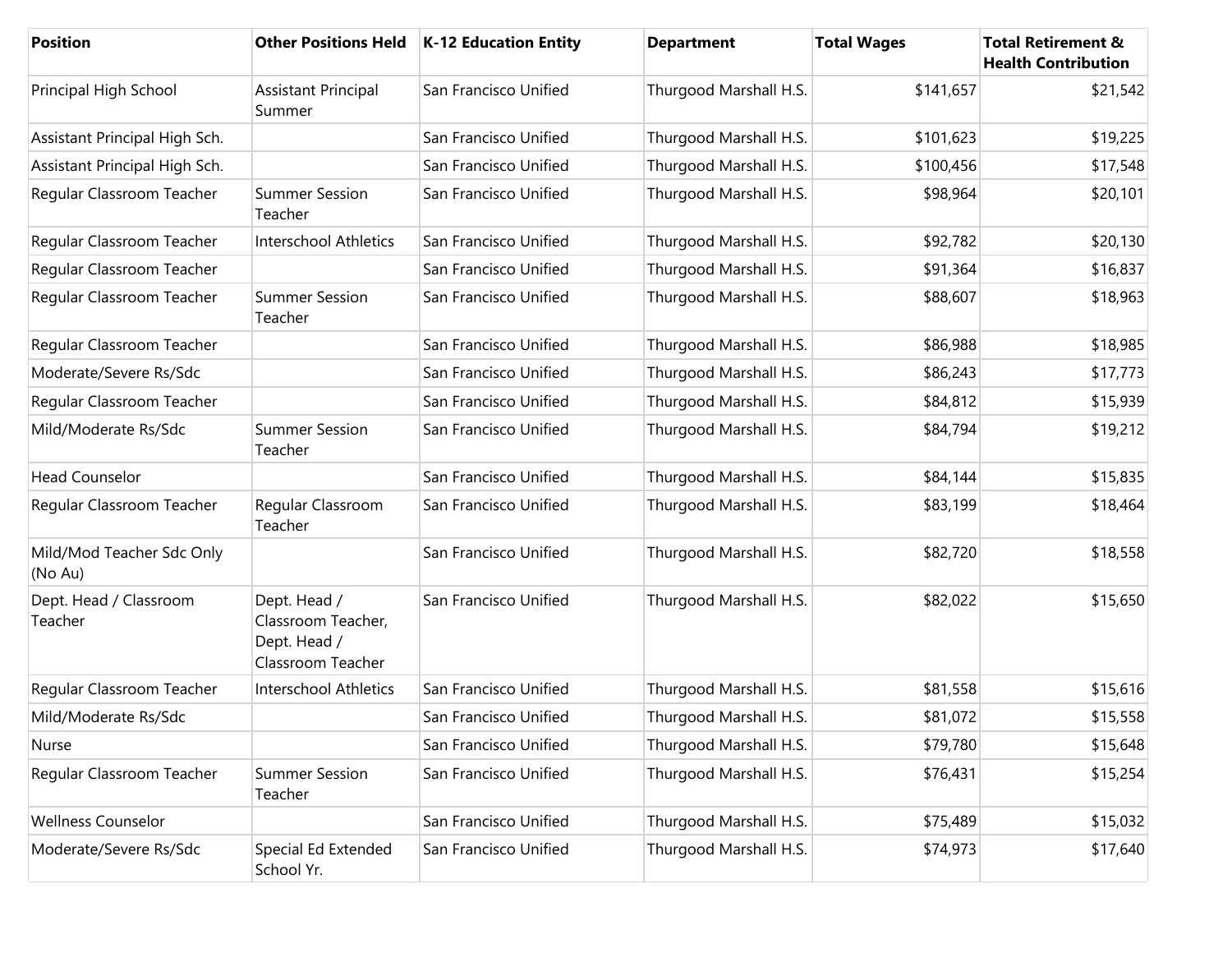| <b>Position</b>                      | <b>Other Positions Held</b>                                             | K-12 Education Entity | <b>Department</b>      | <b>Total Wages</b> | <b>Total Retirement &amp;</b><br><b>Health Contribution</b> |
|--------------------------------------|-------------------------------------------------------------------------|-----------------------|------------------------|--------------------|-------------------------------------------------------------|
| Principal High School                | <b>Assistant Principal</b><br>Summer                                    | San Francisco Unified | Thurgood Marshall H.S. | \$141,657          | \$21,542                                                    |
| Assistant Principal High Sch.        |                                                                         | San Francisco Unified | Thurgood Marshall H.S. | \$101,623          | \$19,225                                                    |
| Assistant Principal High Sch.        |                                                                         | San Francisco Unified | Thurgood Marshall H.S. | \$100,456          | \$17,548                                                    |
| Regular Classroom Teacher            | <b>Summer Session</b><br>Teacher                                        | San Francisco Unified | Thurgood Marshall H.S. | \$98,964           | \$20,101                                                    |
| Regular Classroom Teacher            | Interschool Athletics                                                   | San Francisco Unified | Thurgood Marshall H.S. | \$92,782           | \$20,130                                                    |
| Regular Classroom Teacher            |                                                                         | San Francisco Unified | Thurgood Marshall H.S. | \$91,364           | \$16,837                                                    |
| Regular Classroom Teacher            | <b>Summer Session</b><br>Teacher                                        | San Francisco Unified | Thurgood Marshall H.S. | \$88,607           | \$18,963                                                    |
| Regular Classroom Teacher            |                                                                         | San Francisco Unified | Thurgood Marshall H.S. | \$86,988           | \$18,985                                                    |
| Moderate/Severe Rs/Sdc               |                                                                         | San Francisco Unified | Thurgood Marshall H.S. | \$86,243           | \$17,773                                                    |
| Regular Classroom Teacher            |                                                                         | San Francisco Unified | Thurgood Marshall H.S. | \$84,812           | \$15,939                                                    |
| Mild/Moderate Rs/Sdc                 | <b>Summer Session</b><br>Teacher                                        | San Francisco Unified | Thurgood Marshall H.S. | \$84,794           | \$19,212                                                    |
| <b>Head Counselor</b>                |                                                                         | San Francisco Unified | Thurgood Marshall H.S. | \$84,144           | \$15,835                                                    |
| Regular Classroom Teacher            | Regular Classroom<br>Teacher                                            | San Francisco Unified | Thurgood Marshall H.S. | \$83,199           | \$18,464                                                    |
| Mild/Mod Teacher Sdc Only<br>(No Au) |                                                                         | San Francisco Unified | Thurgood Marshall H.S. | \$82,720           | \$18,558                                                    |
| Dept. Head / Classroom<br>Teacher    | Dept. Head /<br>Classroom Teacher,<br>Dept. Head /<br>Classroom Teacher | San Francisco Unified | Thurgood Marshall H.S. | \$82,022           | \$15,650                                                    |
| Regular Classroom Teacher            | <b>Interschool Athletics</b>                                            | San Francisco Unified | Thurgood Marshall H.S. | \$81,558           | \$15,616                                                    |
| Mild/Moderate Rs/Sdc                 |                                                                         | San Francisco Unified | Thurgood Marshall H.S. | \$81,072           | \$15,558                                                    |
| Nurse                                |                                                                         | San Francisco Unified | Thurgood Marshall H.S. | \$79,780           | \$15,648                                                    |
| Regular Classroom Teacher            | <b>Summer Session</b><br>Teacher                                        | San Francisco Unified | Thurgood Marshall H.S. | \$76,431           | \$15,254                                                    |
| <b>Wellness Counselor</b>            |                                                                         | San Francisco Unified | Thurgood Marshall H.S. | \$75,489           | \$15,032                                                    |
| Moderate/Severe Rs/Sdc               | Special Ed Extended<br>School Yr.                                       | San Francisco Unified | Thurgood Marshall H.S. | \$74,973           | \$17,640                                                    |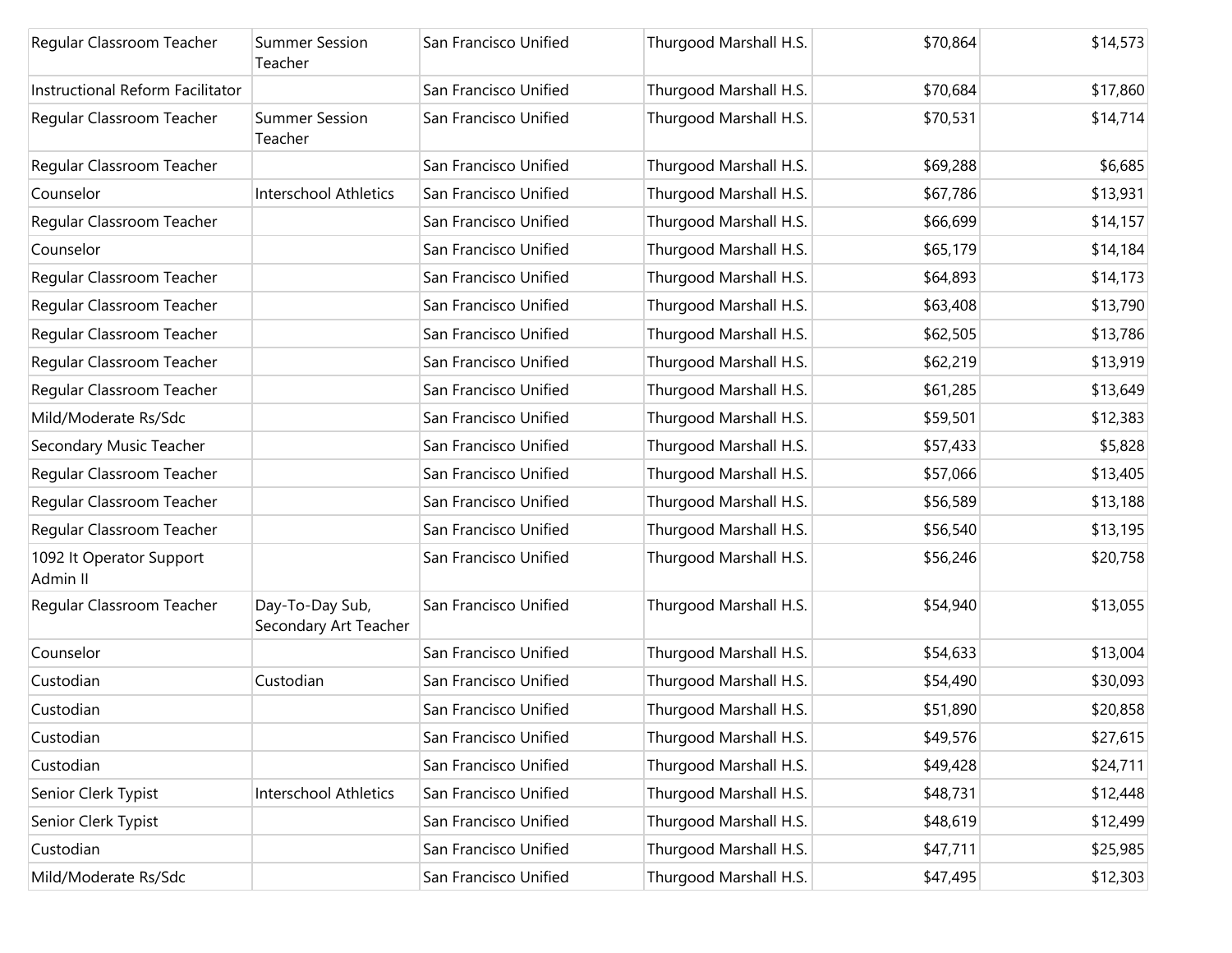| Regular Classroom Teacher            | <b>Summer Session</b><br>Teacher         | San Francisco Unified | Thurgood Marshall H.S. | \$70,864 | \$14,573 |
|--------------------------------------|------------------------------------------|-----------------------|------------------------|----------|----------|
| Instructional Reform Facilitator     |                                          | San Francisco Unified | Thurgood Marshall H.S. | \$70,684 | \$17,860 |
| Regular Classroom Teacher            | Summer Session<br>Teacher                | San Francisco Unified | Thurgood Marshall H.S. | \$70,531 | \$14,714 |
| Regular Classroom Teacher            |                                          | San Francisco Unified | Thurgood Marshall H.S. | \$69,288 | \$6,685  |
| Counselor                            | <b>Interschool Athletics</b>             | San Francisco Unified | Thurgood Marshall H.S. | \$67,786 | \$13,931 |
| Regular Classroom Teacher            |                                          | San Francisco Unified | Thurgood Marshall H.S. | \$66,699 | \$14,157 |
| Counselor                            |                                          | San Francisco Unified | Thurgood Marshall H.S. | \$65,179 | \$14,184 |
| Regular Classroom Teacher            |                                          | San Francisco Unified | Thurgood Marshall H.S. | \$64,893 | \$14,173 |
| Regular Classroom Teacher            |                                          | San Francisco Unified | Thurgood Marshall H.S. | \$63,408 | \$13,790 |
| Regular Classroom Teacher            |                                          | San Francisco Unified | Thurgood Marshall H.S. | \$62,505 | \$13,786 |
| Regular Classroom Teacher            |                                          | San Francisco Unified | Thurgood Marshall H.S. | \$62,219 | \$13,919 |
| Regular Classroom Teacher            |                                          | San Francisco Unified | Thurgood Marshall H.S. | \$61,285 | \$13,649 |
| Mild/Moderate Rs/Sdc                 |                                          | San Francisco Unified | Thurgood Marshall H.S. | \$59,501 | \$12,383 |
| Secondary Music Teacher              |                                          | San Francisco Unified | Thurgood Marshall H.S. | \$57,433 | \$5,828  |
| Regular Classroom Teacher            |                                          | San Francisco Unified | Thurgood Marshall H.S. | \$57,066 | \$13,405 |
| Regular Classroom Teacher            |                                          | San Francisco Unified | Thurgood Marshall H.S. | \$56,589 | \$13,188 |
| Regular Classroom Teacher            |                                          | San Francisco Unified | Thurgood Marshall H.S. | \$56,540 | \$13,195 |
| 1092 It Operator Support<br>Admin II |                                          | San Francisco Unified | Thurgood Marshall H.S. | \$56,246 | \$20,758 |
| Regular Classroom Teacher            | Day-To-Day Sub,<br>Secondary Art Teacher | San Francisco Unified | Thurgood Marshall H.S. | \$54,940 | \$13,055 |
| Counselor                            |                                          | San Francisco Unified | Thurgood Marshall H.S. | \$54,633 | \$13,004 |
| Custodian                            | Custodian                                | San Francisco Unified | Thurgood Marshall H.S. | \$54,490 | \$30,093 |
| Custodian                            |                                          | San Francisco Unified | Thurgood Marshall H.S. | \$51,890 | \$20,858 |
| Custodian                            |                                          | San Francisco Unified | Thurgood Marshall H.S. | \$49,576 | \$27,615 |
| Custodian                            |                                          | San Francisco Unified | Thurgood Marshall H.S. | \$49,428 | \$24,711 |
| Senior Clerk Typist                  | Interschool Athletics                    | San Francisco Unified | Thurgood Marshall H.S. | \$48,731 | \$12,448 |
| Senior Clerk Typist                  |                                          | San Francisco Unified | Thurgood Marshall H.S. | \$48,619 | \$12,499 |
| Custodian                            |                                          | San Francisco Unified | Thurgood Marshall H.S. | \$47,711 | \$25,985 |
| Mild/Moderate Rs/Sdc                 |                                          | San Francisco Unified | Thurgood Marshall H.S. | \$47,495 | \$12,303 |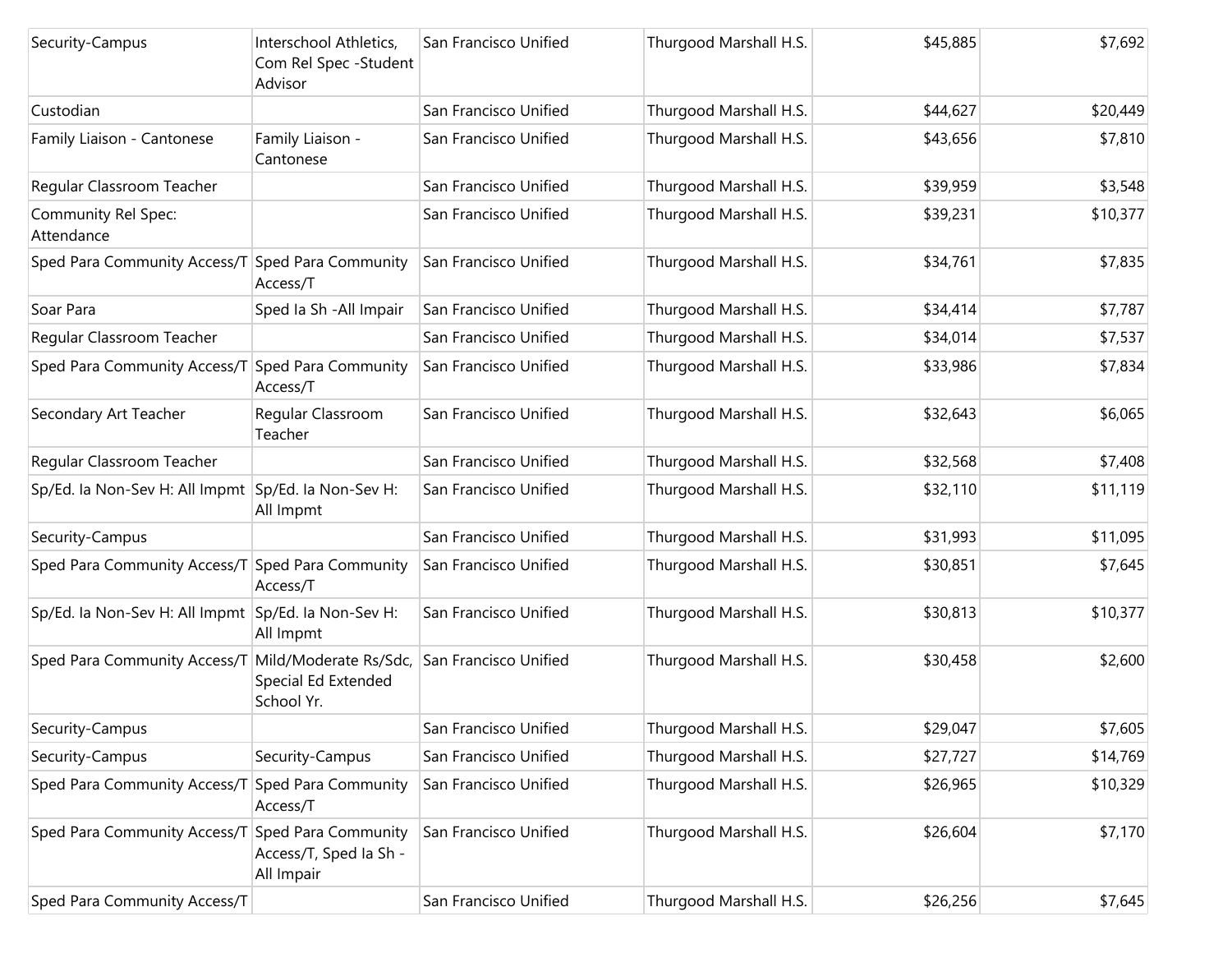| Security-Campus                                     | Interschool Athletics,<br>Com Rel Spec - Student<br>Advisor | San Francisco Unified | Thurgood Marshall H.S. | \$45,885 | \$7,692  |
|-----------------------------------------------------|-------------------------------------------------------------|-----------------------|------------------------|----------|----------|
| Custodian                                           |                                                             | San Francisco Unified | Thurgood Marshall H.S. | \$44,627 | \$20,449 |
| Family Liaison - Cantonese                          | Family Liaison -<br>Cantonese                               | San Francisco Unified | Thurgood Marshall H.S. | \$43,656 | \$7,810  |
| Regular Classroom Teacher                           |                                                             | San Francisco Unified | Thurgood Marshall H.S. | \$39,959 | \$3,548  |
| Community Rel Spec:<br>Attendance                   |                                                             | San Francisco Unified | Thurgood Marshall H.S. | \$39,231 | \$10,377 |
| Sped Para Community Access/T                        | Sped Para Community<br>Access/T                             | San Francisco Unified | Thurgood Marshall H.S. | \$34,761 | \$7,835  |
| Soar Para                                           | Sped Ia Sh - All Impair                                     | San Francisco Unified | Thurgood Marshall H.S. | \$34,414 | \$7,787  |
| Regular Classroom Teacher                           |                                                             | San Francisco Unified | Thurgood Marshall H.S. | \$34,014 | \$7,537  |
| Sped Para Community Access/T                        | Sped Para Community<br>Access/T                             | San Francisco Unified | Thurgood Marshall H.S. | \$33,986 | \$7,834  |
| Secondary Art Teacher                               | Regular Classroom<br>Teacher                                | San Francisco Unified | Thurgood Marshall H.S. | \$32,643 | \$6,065  |
| Regular Classroom Teacher                           |                                                             | San Francisco Unified | Thurgood Marshall H.S. | \$32,568 | \$7,408  |
| Sp/Ed. la Non-Sev H: All Impmt Sp/Ed. la Non-Sev H: | All Impmt                                                   | San Francisco Unified | Thurgood Marshall H.S. | \$32,110 | \$11,119 |
| Security-Campus                                     |                                                             | San Francisco Unified | Thurgood Marshall H.S. | \$31,993 | \$11,095 |
| Sped Para Community Access/T                        | <b>Sped Para Community</b><br>Access/T                      | San Francisco Unified | Thurgood Marshall H.S. | \$30,851 | \$7,645  |
| Sp/Ed. la Non-Sev H: All Impmt Sp/Ed. la Non-Sev H: | All Impmt                                                   | San Francisco Unified | Thurgood Marshall H.S. | \$30,813 | \$10,377 |
| Sped Para Community Access/T Mild/Moderate Rs/Sdc,  | Special Ed Extended<br>School Yr.                           | San Francisco Unified | Thurgood Marshall H.S. | \$30,458 | \$2,600  |
| Security-Campus                                     |                                                             | San Francisco Unified | Thurgood Marshall H.S. | \$29,047 | \$7,605  |
| Security-Campus                                     | Security-Campus                                             | San Francisco Unified | Thurgood Marshall H.S. | \$27,727 | \$14,769 |
| Sped Para Community Access/T Sped Para Community    | Access/T                                                    | San Francisco Unified | Thurgood Marshall H.S. | \$26,965 | \$10,329 |
| Sped Para Community Access/T                        | Sped Para Community<br>Access/T, Sped Ia Sh -<br>All Impair | San Francisco Unified | Thurgood Marshall H.S. | \$26,604 | \$7,170  |
| Sped Para Community Access/T                        |                                                             | San Francisco Unified | Thurgood Marshall H.S. | \$26,256 | \$7,645  |